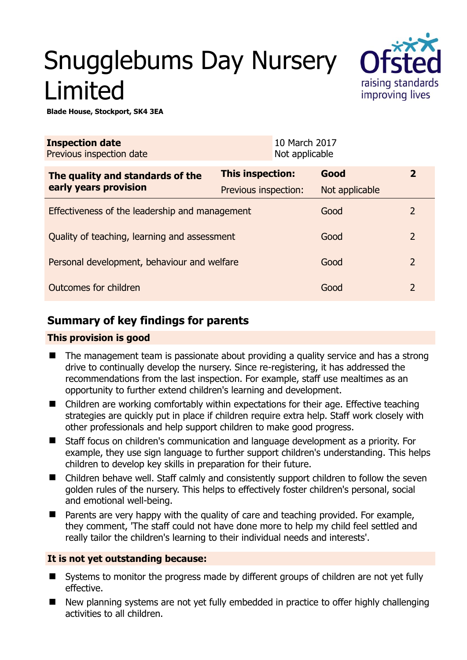# Snugglebums Day Nursery Limited



**Blade House, Stockport, SK4 3EA** 

| <b>Inspection date</b><br>Previous inspection date |                      | 10 March 2017<br>Not applicable |                |                |
|----------------------------------------------------|----------------------|---------------------------------|----------------|----------------|
| The quality and standards of the                   | This inspection:     |                                 | Good           | $\overline{2}$ |
| early years provision                              | Previous inspection: |                                 | Not applicable |                |
| Effectiveness of the leadership and management     |                      |                                 | Good           | $\overline{2}$ |
| Quality of teaching, learning and assessment       |                      |                                 | Good           | $\overline{2}$ |
| Personal development, behaviour and welfare        |                      |                                 | Good           | $\overline{2}$ |
| Outcomes for children                              |                      |                                 | Good           | $\overline{2}$ |

# **Summary of key findings for parents**

## **This provision is good**

- The management team is passionate about providing a quality service and has a strong drive to continually develop the nursery. Since re-registering, it has addressed the recommendations from the last inspection. For example, staff use mealtimes as an opportunity to further extend children's learning and development.
- Children are working comfortably within expectations for their age. Effective teaching strategies are quickly put in place if children require extra help. Staff work closely with other professionals and help support children to make good progress.
- Staff focus on children's communication and language development as a priority. For example, they use sign language to further support children's understanding. This helps children to develop key skills in preparation for their future.
- Children behave well. Staff calmly and consistently support children to follow the seven golden rules of the nursery. This helps to effectively foster children's personal, social and emotional well-being.
- **Parents are very happy with the quality of care and teaching provided. For example,** they comment, 'The staff could not have done more to help my child feel settled and really tailor the children's learning to their individual needs and interests'.

## **It is not yet outstanding because:**

- Systems to monitor the progress made by different groups of children are not yet fully effective.
- New planning systems are not yet fully embedded in practice to offer highly challenging activities to all children.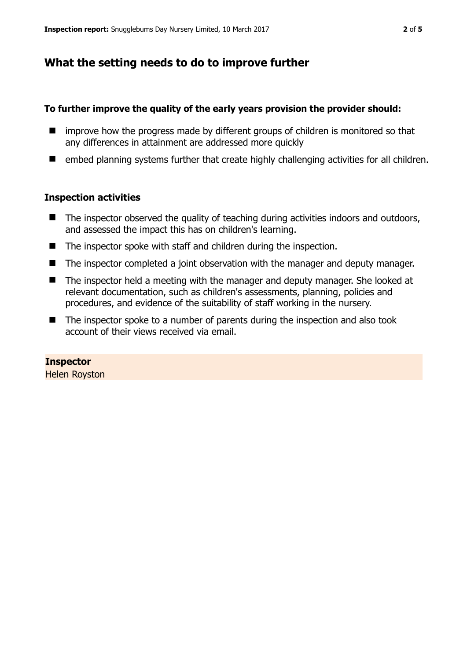## **What the setting needs to do to improve further**

#### **To further improve the quality of the early years provision the provider should:**

- **If** improve how the progress made by different groups of children is monitored so that any differences in attainment are addressed more quickly
- embed planning systems further that create highly challenging activities for all children.

#### **Inspection activities**

- The inspector observed the quality of teaching during activities indoors and outdoors, and assessed the impact this has on children's learning.
- The inspector spoke with staff and children during the inspection.
- The inspector completed a joint observation with the manager and deputy manager.
- The inspector held a meeting with the manager and deputy manager. She looked at relevant documentation, such as children's assessments, planning, policies and procedures, and evidence of the suitability of staff working in the nursery.
- The inspector spoke to a number of parents during the inspection and also took account of their views received via email.

#### **Inspector**

Helen Royston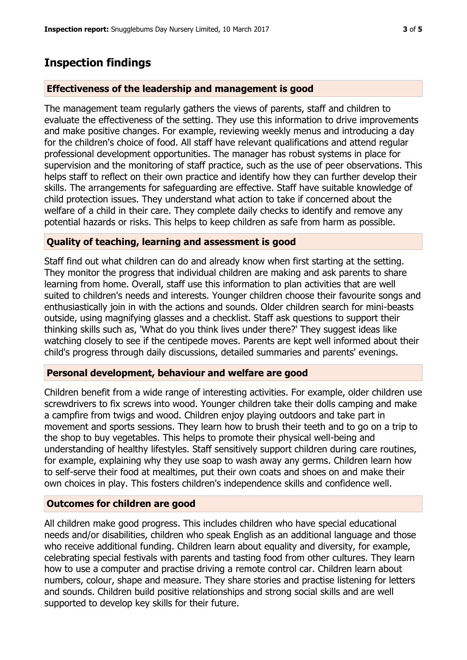# **Inspection findings**

### **Effectiveness of the leadership and management is good**

The management team regularly gathers the views of parents, staff and children to evaluate the effectiveness of the setting. They use this information to drive improvements and make positive changes. For example, reviewing weekly menus and introducing a day for the children's choice of food. All staff have relevant qualifications and attend regular professional development opportunities. The manager has robust systems in place for supervision and the monitoring of staff practice, such as the use of peer observations. This helps staff to reflect on their own practice and identify how they can further develop their skills. The arrangements for safeguarding are effective. Staff have suitable knowledge of child protection issues. They understand what action to take if concerned about the welfare of a child in their care. They complete daily checks to identify and remove any potential hazards or risks. This helps to keep children as safe from harm as possible.

#### **Quality of teaching, learning and assessment is good**

Staff find out what children can do and already know when first starting at the setting. They monitor the progress that individual children are making and ask parents to share learning from home. Overall, staff use this information to plan activities that are well suited to children's needs and interests. Younger children choose their favourite songs and enthusiastically join in with the actions and sounds. Older children search for mini-beasts outside, using magnifying glasses and a checklist. Staff ask questions to support their thinking skills such as, 'What do you think lives under there?' They suggest ideas like watching closely to see if the centipede moves. Parents are kept well informed about their child's progress through daily discussions, detailed summaries and parents' evenings.

#### **Personal development, behaviour and welfare are good**

Children benefit from a wide range of interesting activities. For example, older children use screwdrivers to fix screws into wood. Younger children take their dolls camping and make a campfire from twigs and wood. Children enjoy playing outdoors and take part in movement and sports sessions. They learn how to brush their teeth and to go on a trip to the shop to buy vegetables. This helps to promote their physical well-being and understanding of healthy lifestyles. Staff sensitively support children during care routines, for example, explaining why they use soap to wash away any germs. Children learn how to self-serve their food at mealtimes, put their own coats and shoes on and make their own choices in play. This fosters children's independence skills and confidence well.

## **Outcomes for children are good**

All children make good progress. This includes children who have special educational needs and/or disabilities, children who speak English as an additional language and those who receive additional funding. Children learn about equality and diversity, for example, celebrating special festivals with parents and tasting food from other cultures. They learn how to use a computer and practise driving a remote control car. Children learn about numbers, colour, shape and measure. They share stories and practise listening for letters and sounds. Children build positive relationships and strong social skills and are well supported to develop key skills for their future.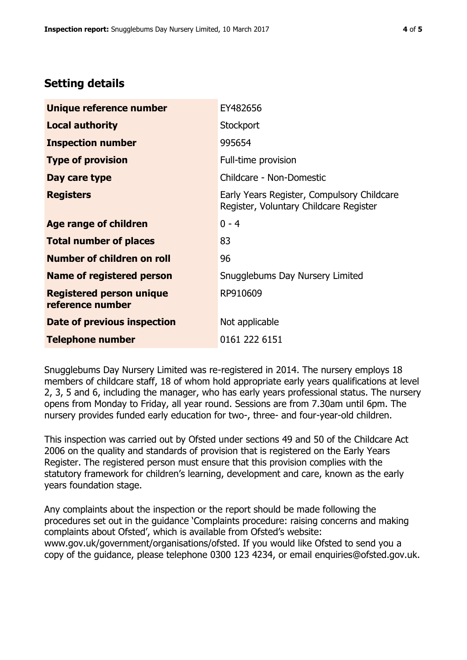# **Setting details**

| Unique reference number                             | EY482656                                                                             |  |
|-----------------------------------------------------|--------------------------------------------------------------------------------------|--|
| <b>Local authority</b>                              | Stockport                                                                            |  |
| <b>Inspection number</b>                            | 995654                                                                               |  |
| <b>Type of provision</b>                            | Full-time provision                                                                  |  |
| Day care type                                       | Childcare - Non-Domestic                                                             |  |
| <b>Registers</b>                                    | Early Years Register, Compulsory Childcare<br>Register, Voluntary Childcare Register |  |
| Age range of children                               | $0 - 4$                                                                              |  |
| <b>Total number of places</b>                       | 83                                                                                   |  |
| Number of children on roll                          | 96                                                                                   |  |
| Name of registered person                           | Snugglebums Day Nursery Limited                                                      |  |
| <b>Registered person unique</b><br>reference number | RP910609                                                                             |  |
| Date of previous inspection                         | Not applicable                                                                       |  |
| <b>Telephone number</b>                             | 0161 222 6151                                                                        |  |

Snugglebums Day Nursery Limited was re-registered in 2014. The nursery employs 18 members of childcare staff, 18 of whom hold appropriate early years qualifications at level 2, 3, 5 and 6, including the manager, who has early years professional status. The nursery opens from Monday to Friday, all year round. Sessions are from 7.30am until 6pm. The nursery provides funded early education for two-, three- and four-year-old children.

This inspection was carried out by Ofsted under sections 49 and 50 of the Childcare Act 2006 on the quality and standards of provision that is registered on the Early Years Register. The registered person must ensure that this provision complies with the statutory framework for children's learning, development and care, known as the early years foundation stage.

Any complaints about the inspection or the report should be made following the procedures set out in the guidance 'Complaints procedure: raising concerns and making complaints about Ofsted', which is available from Ofsted's website: www.gov.uk/government/organisations/ofsted. If you would like Ofsted to send you a copy of the guidance, please telephone 0300 123 4234, or email enquiries@ofsted.gov.uk.